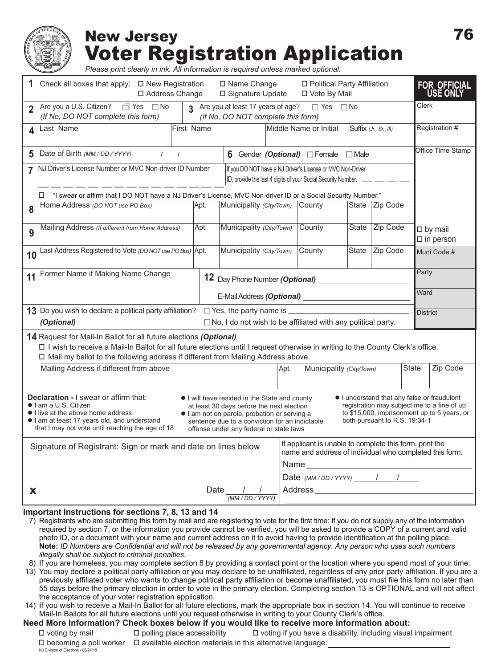## New Jersey Voter Registration Application

*Please print clearly in ink. All information is required unless marked optional.*

|                                                                                                                                                                                                                                                                                                                                                                                                                                                                                                                                                                                                                                | 1 Check all boxes that apply: □ New Registration<br>□ Name Change<br>□ Address Change<br>□ Signature Update                                                      |                                                  |                          |      |                                                                                                                            | □ Political Party Affiliation<br>□ Vote By Mail |                |                 | <b>FOR OFFICIAL</b><br><b>USE ONL</b> |  |
|--------------------------------------------------------------------------------------------------------------------------------------------------------------------------------------------------------------------------------------------------------------------------------------------------------------------------------------------------------------------------------------------------------------------------------------------------------------------------------------------------------------------------------------------------------------------------------------------------------------------------------|------------------------------------------------------------------------------------------------------------------------------------------------------------------|--------------------------------------------------|--------------------------|------|----------------------------------------------------------------------------------------------------------------------------|-------------------------------------------------|----------------|-----------------|---------------------------------------|--|
|                                                                                                                                                                                                                                                                                                                                                                                                                                                                                                                                                                                                                                | Are you a U.S. Citizen? □ Yes □ No<br>3 Are you at least 17 years of age? □ Yes □ No<br>(If No, DO NOT complete this form)<br>(If No, DO NOT complete this form) |                                                  |                          |      |                                                                                                                            |                                                 |                |                 | Clerk                                 |  |
|                                                                                                                                                                                                                                                                                                                                                                                                                                                                                                                                                                                                                                | First Name<br>4 Last Name                                                                                                                                        | Middle Name or Initial<br>Suffix (Jr., Sr., III) |                          |      |                                                                                                                            |                                                 |                | Registration #  |                                       |  |
|                                                                                                                                                                                                                                                                                                                                                                                                                                                                                                                                                                                                                                | 5 Date of Birth (MM / DD / YYYY)<br>$\frac{1}{2}$<br>6 Gender (Optional) Female EMale                                                                            |                                                  |                          |      |                                                                                                                            |                                                 |                |                 | Office Time Stamp                     |  |
| 7 NJ Driver's License Number or MVC Non-driver ID Number<br>If you DO NOT have a NJ Driver's License or MVC Non-Driver<br>ID, provide the last 4 digits of your Social Security Number.                                                                                                                                                                                                                                                                                                                                                                                                                                        |                                                                                                                                                                  |                                                  |                          |      |                                                                                                                            |                                                 |                |                 |                                       |  |
| L "I swear or affirm that I DO NOT have a NJ Driver's License, MVC Non-driver ID or a Social Security Number."<br>State Zip Code                                                                                                                                                                                                                                                                                                                                                                                                                                                                                               |                                                                                                                                                                  |                                                  |                          |      |                                                                                                                            |                                                 |                |                 |                                       |  |
| 8                                                                                                                                                                                                                                                                                                                                                                                                                                                                                                                                                                                                                              | Home Address (DO NOT use PO Box)                                                                                                                                 | Apt.                                             | Municipality (City/Town) |      | County                                                                                                                     |                                                 |                |                 |                                       |  |
|                                                                                                                                                                                                                                                                                                                                                                                                                                                                                                                                                                                                                                | Mailing Address (If different from Home Address)                                                                                                                 | Apt.                                             | Municipality (City/Town) |      | County                                                                                                                     |                                                 | State Zip Code |                 | $\Box$ by mail<br>$\square$ in person |  |
| 10                                                                                                                                                                                                                                                                                                                                                                                                                                                                                                                                                                                                                             | Last Address Registered to Vote (DO NOT use PO Box) Apt.                                                                                                         |                                                  | Municipality (City/Town) |      | County                                                                                                                     | State                                           | Zip Code       |                 | Muni Code #                           |  |
| 11 Former Name if Making Name Change<br>12 Day Phone Number (Optional)                                                                                                                                                                                                                                                                                                                                                                                                                                                                                                                                                         |                                                                                                                                                                  |                                                  |                          |      |                                                                                                                            |                                                 |                | Party           |                                       |  |
| E-Mail Address (Optional) ____________                                                                                                                                                                                                                                                                                                                                                                                                                                                                                                                                                                                         |                                                                                                                                                                  |                                                  |                          |      |                                                                                                                            |                                                 |                | Ward            |                                       |  |
| 13 Do you wish to declare a political party affiliation? $\Box$ Yes, the party name is ____                                                                                                                                                                                                                                                                                                                                                                                                                                                                                                                                    |                                                                                                                                                                  |                                                  |                          |      |                                                                                                                            |                                                 |                | <b>District</b> |                                       |  |
| (Optional)<br>$\Box$ No, I do not wish to be affiliated with any political party.                                                                                                                                                                                                                                                                                                                                                                                                                                                                                                                                              |                                                                                                                                                                  |                                                  |                          |      |                                                                                                                            |                                                 |                |                 |                                       |  |
| 14 Request for Mail-In Ballot for all future elections (Optional)<br>□ I wish to receive a Mail-In Ballot for all future elections until I request otherwise in writing to the County Clerk's office.<br>□ Mail my ballot to the following address if different from Mailing Address above.                                                                                                                                                                                                                                                                                                                                    |                                                                                                                                                                  |                                                  |                          |      |                                                                                                                            |                                                 |                |                 |                                       |  |
|                                                                                                                                                                                                                                                                                                                                                                                                                                                                                                                                                                                                                                | Mailing Address if different from above                                                                                                                          |                                                  |                          | Apt. | Municipality (City/Town)                                                                                                   |                                                 |                | <b>State</b>    | Zip Code                              |  |
| <b>Declaration - I swear or affirm that:</b><br>• I understand that any false or fraudulent<br>I will have resided in the State and county<br>registration may subject me to a fine of up<br>I am a U.S. Citizen<br>at least 30 days before the next election<br>to \$15,000, imprisonment up to 5 years, or<br>I live at the above home address<br>I am not on parole, probation or serving a<br>both pursuant to R.S. 19:34-1<br>I am at least 17 years old, and understand<br>sentence due to a conviction for an indictable<br>that I may not vote until reaching the age of 18<br>offense under any federal or state laws |                                                                                                                                                                  |                                                  |                          |      |                                                                                                                            |                                                 |                |                 |                                       |  |
| Signature of Registrant: Sign or mark and date on lines below                                                                                                                                                                                                                                                                                                                                                                                                                                                                                                                                                                  |                                                                                                                                                                  |                                                  |                          |      | If applicant is unable to complete this form, print the<br>name and address of individual who completed this form.<br>Name |                                                 |                |                 |                                       |  |
|                                                                                                                                                                                                                                                                                                                                                                                                                                                                                                                                                                                                                                |                                                                                                                                                                  |                                                  |                          |      | Date $(MM/DD/YYYY)$ / / /                                                                                                  |                                                 |                |                 |                                       |  |
| Date $\frac{1}{2}$<br>X.<br>(MM / DD / YYYY)                                                                                                                                                                                                                                                                                                                                                                                                                                                                                                                                                                                   |                                                                                                                                                                  |                                                  |                          |      |                                                                                                                            |                                                 |                |                 |                                       |  |

#### **Important Instructions for sections 7, 8, 13 and 14**

NJ Division of Elections - 08/24/18

- 7) Registrants who are submitting this form by mail and are registering to vote for the first time: If you do not supply any of the information required by section 7, or the information you provide cannot be verified, you will be asked to provide a COPY of a current and valid photo ID, or a document with your name and current address on it to avoid having to provide identification at the polling place. **Note:** *ID Numbers are Confidential and will not be released by any governmental agency. Any person who uses such numbers illegally shall be subject to criminal penalties.*
- 8) If you are homeless, you may complete section 8 by providing a contact point or the location where you spend most of your time.
- 13) You may declare a political party affiliation or you may declare to be unaffiliated, regardless of any prior party affiliation. If you are a previously affiliated voter who wants to change political party affiliation or become unaffiliated, you must file this form no later than 55 days before the primary election in order to vote in the primary election. Completing section 13 is OPTIONAL and will not affect the acceptance of your voter registration application.
- 14) If you wish to receive a Mail-In Ballot for all future elections, mark the appropriate box in section 14. You will continue to receive Mail-In Ballots for all future elections until you request otherwise in writing to your County Clerk's office.

#### **Need More Information? Check boxes below if you would like to receive more information about:**

 $\Box$  voting by mail  $\Box$  polling place accessibility  $\Box$  voting if you have a disability, including visual impairment  $\Box$  becoming a poll worker  $\Box$  available election materials in this alternative language: